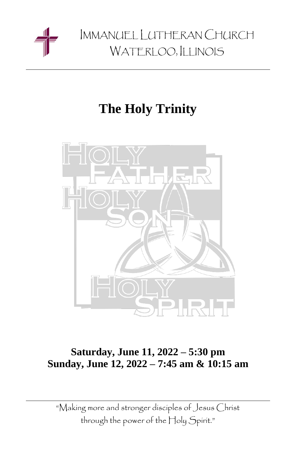

## **The Holy Trinity**



### **Saturday, June 11, 2022 – 5:30 pm Sunday, June 12, 2022 – 7:45 am & 10:15 am**

"Making more and stronger disciples of Jesus Christ through the power of the Holy Spirit."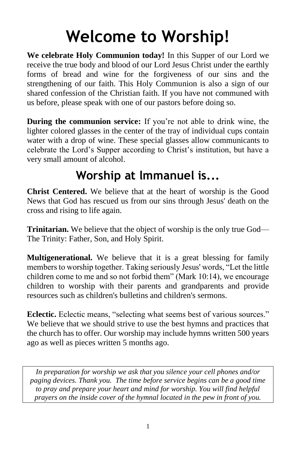# **Welcome to Worship!**

**We celebrate Holy Communion today!** In this Supper of our Lord we receive the true body and blood of our Lord Jesus Christ under the earthly forms of bread and wine for the forgiveness of our sins and the strengthening of our faith. This Holy Communion is also a sign of our shared confession of the Christian faith. If you have not communed with us before, please speak with one of our pastors before doing so.

**During the communion service:** If you're not able to drink wine, the lighter colored glasses in the center of the tray of individual cups contain water with a drop of wine. These special glasses allow communicants to celebrate the Lord's Supper according to Christ's institution, but have a very small amount of alcohol.

### **Worship at lmmanuel is...**

**Christ Centered.** We believe that at the heart of worship is the Good News that God has rescued us from our sins through Jesus' death on the cross and rising to life again.

**Trinitarian.** We believe that the object of worship is the only true God— The Trinity: Father, Son, and Holy Spirit.

**Multigenerational.** We believe that it is a great blessing for family members to worship together. Taking seriously Jesus' words, "Let the little children come to me and so not forbid them" (Mark 10:14), we encourage children to worship with their parents and grandparents and provide resources such as children's bulletins and children's sermons.

**Eclectic.** Eclectic means, "selecting what seems best of various sources." We believe that we should strive to use the best hymns and practices that the church has to offer. Our worship may include hymns written 500 years ago as well as pieces written 5 months ago.

*In preparation for worship we ask that you silence your cell phones and/or paging devices. Thank you. The time before service begins can be a good time to pray and prepare your heart and mind for worship. You will find helpful prayers on the inside cover of the hymnal located in the pew in front of you.*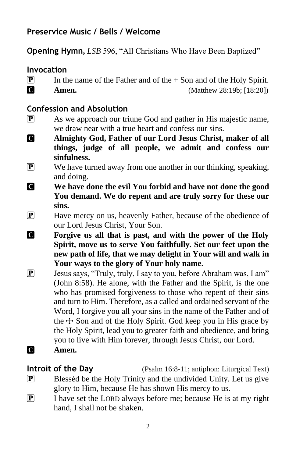#### **Preservice Music / Bells / Welcome**

**Opening Hymn, LSB 596, "All Christians Who Have Been Baptized"** 

#### **Invocation**

 $\boxed{\mathbf{P}}$  In the name of the Father and of the + Son and of the Holy Spirit. **C Amen.** (Matthew 28:19b; [18:20])

#### **Confession and Absolution**

- $\mathbf{P}$  As we approach our triune God and gather in His majestic name, we draw near with a true heart and confess our sins.
- C **Almighty God, Father of our Lord Jesus Christ, maker of all things, judge of all people, we admit and confess our sinfulness.**
- $\mathbf{P}$  We have turned away from one another in our thinking, speaking, and doing.
- C **We have done the evil You forbid and have not done the good You demand. We do repent and are truly sorry for these our sins.**
- **P** Have mercy on us, heavenly Father, because of the obedience of our Lord Jesus Christ, Your Son.
- C **Forgive us all that is past, and with the power of the Holy Spirit, move us to serve You faithfully. Set our feet upon the new path of life, that we may delight in Your will and walk in Your ways to the glory of Your holy name.**
- P Jesus says, "Truly, truly, I say to you, before Abraham was, I am" (John 8:58). He alone, with the Father and the Spirit, is the one who has promised forgiveness to those who repent of their sins and turn to Him. Therefore, as a called and ordained servant of the Word, I forgive you all your sins in the name of the Father and of the  $\pm$  Son and of the Holy Spirit. God keep you in His grace by the Holy Spirit, lead you to greater faith and obedience, and bring you to live with Him forever, through Jesus Christ, our Lord.
- C **Amen.**

**Introit of the Day** (Psalm 16:8-11; antiphon: Liturgical Text)  $\mathbf{P}$  Blesséd be the Holy Trinity and the undivided Unity. Let us give glory to Him, because He has shown His mercy to us.

 $\boxed{\mathbf{P}}$  I have set the LORD always before me; because He is at my right hand, I shall not be shaken.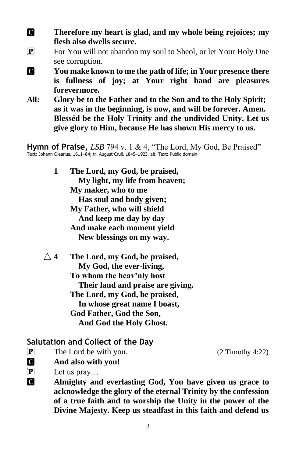- C **Therefore my heart is glad, and my whole being rejoices; my flesh also dwells secure.**
- P For You will not abandon my soul to Sheol, or let Your Holy One see corruption.
- C **You make known to me the path of life; in Your presence there is fullness of joy; at Your right hand are pleasures forevermore.**
- **All: Glory be to the Father and to the Son and to the Holy Spirit; as it was in the beginning, is now, and will be forever. Amen. Blesséd be the Holy Trinity and the undivided Unity. Let us give glory to Him, because He has shown His mercy to us.**

**Hymn of Praise,** *LSB* 794 v. 1 & 4, "The Lord, My God, Be Praised" Text: Johann Olearius, 1611–84; tr. August Crull, 1845–1923, alt. Text: Public domain

- **1 The Lord, my God, be praised, My light, my life from heaven; My maker, who to me Has soul and body given; My Father, who will shield And keep me day by day And make each moment yield New blessings on my way.**
- $\triangle$  4 The Lord, my God, be praised,  **My God, the ever-living, To whom the heav'nly host Their laud and praise are giving. The Lord, my God, be praised, In whose great name I boast, God Father, God the Son, And God the Holy Ghost.**

#### **Salutation and Collect of the Day**

- $\boxed{\mathbf{P}}$  The Lord be with you. (2 Timothy 4:22)
- C **And also with you!**
- $[\mathbf{P}]$  Let us pray...
- C **Almighty and everlasting God, You have given us grace to acknowledge the glory of the eternal Trinity by the confession of a true faith and to worship the Unity in the power of the Divine Majesty. Keep us steadfast in this faith and defend us**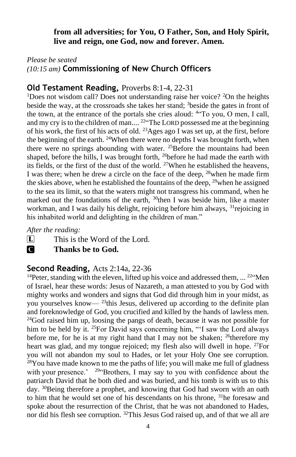**from all adversities; for You, O Father, Son, and Holy Spirit, live and reign, one God, now and forever. Amen.**

#### *Please be seated (10:15 am)* **Commissioning of New Church Officers**

#### **Old Testament Reading,** Proverbs 8:1-4, 22-31

<sup>1</sup>Does not wisdom call? Does not understanding raise her voice? <sup>2</sup>On the heights beside the way, at the crossroads she takes her stand;  $3$  beside the gates in front of the town, at the entrance of the portals she cries aloud: <sup>4"</sup>To you, O men, I call, and my cry is to the children of man.... <sup>22</sup>"The LORD possessed me at the beginning of his work, the first of his acts of old. <sup>23</sup>Ages ago I was set up, at the first, before the beginning of the earth. <sup>24</sup>When there were no depths I was brought forth, when there were no springs abounding with water. <sup>25</sup>Before the mountains had been shaped, before the hills, I was brought forth, <sup>26</sup>before he had made the earth with its fields, or the first of the dust of the world. <sup>27</sup>When he established the heavens, I was there; when he drew a circle on the face of the deep,  $^{28}$  when he made firm the skies above, when he established the fountains of the deep, <sup>29</sup>when he assigned to the sea its limit, so that the waters might not transgress his command, when he marked out the foundations of the earth,  $30$ <sup>then</sup> I was beside him, like a master workman, and I was daily his delight, rejoicing before him always, <sup>31</sup> rejoicing in his inhabited world and delighting in the children of man."

*After the reading:*

- $\Box$  This is the Word of the Lord.
- **C** Thanks be to God.

#### **Second Reading,** Acts 2:14a, 22-36

<sup>14</sup>Peter, standing with the eleven, lifted up his voice and addressed them, ... <sup>22"</sup>Men of Israel, hear these words: Jesus of Nazareth, a man attested to you by God with mighty works and wonders and signs that God did through him in your midst, as you yourselves know— $^{23}$ this Jesus, delivered up according to the definite plan and foreknowledge of God, you crucified and killed by the hands of lawless men.  $24$ God raised him up, loosing the pangs of death, because it was not possible for him to be held by it. <sup>25</sup>For David says concerning him, "'I saw the Lord always before me, for he is at my right hand that I may not be shaken; <sup>26</sup>therefore my heart was glad, and my tongue rejoiced; my flesh also will dwell in hope. <sup>27</sup>For you will not abandon my soul to Hades, or let your Holy One see corruption.  $28$ You have made known to me the paths of life; you will make me full of gladness with your presence.' <sup>29"</sup>Brothers, I may say to you with confidence about the patriarch David that he both died and was buried, and his tomb is with us to this day. <sup>30</sup>Being therefore a prophet, and knowing that God had sworn with an oath to him that he would set one of his descendants on his throne, <sup>31</sup>he foresaw and spoke about the resurrection of the Christ, that he was not abandoned to Hades, nor did his flesh see corruption.  $32$ This Jesus God raised up, and of that we all are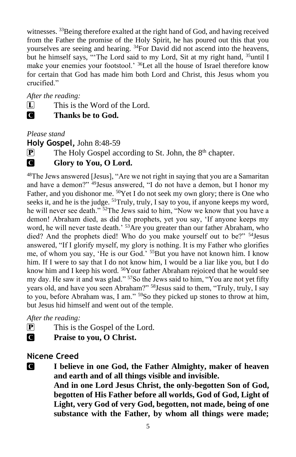witnesses. <sup>33</sup>Being therefore exalted at the right hand of God, and having received from the Father the promise of the Holy Spirit, he has poured out this that you yourselves are seeing and hearing. <sup>34</sup>For David did not ascend into the heavens, but he himself says, "'The Lord said to my Lord, Sit at my right hand, <sup>35</sup>until I make your enemies your footstool.' <sup>36</sup>Let all the house of Israel therefore know for certain that God has made him both Lord and Christ, this Jesus whom you crucified."

*After the reading:*

- L This is the Word of the Lord.
- 

C **Thanks be to God.**

*Please stand*

**Holy Gospel,** John 8:48-59

**P** The Holy Gospel according to St. John, the  $8<sup>th</sup>$  chapter.

#### **G** Glory to You, O Lord.

<sup>48</sup>The Jews answered [Jesus], "Are we not right in saying that you are a Samaritan and have a demon?" <sup>49</sup>Jesus answered, "I do not have a demon, but I honor my Father, and you dishonor me.  ${}^{50}$ Yet I do not seek my own glory; there is One who seeks it, and he is the judge. <sup>51</sup>Truly, truly, I say to you, if anyone keeps my word, he will never see death." <sup>52</sup>The Jews said to him, "Now we know that you have a demon! Abraham died, as did the prophets, yet you say, 'If anyone keeps my word, he will never taste death.' <sup>53</sup>Are you greater than our father Abraham, who died? And the prophets died! Who do you make yourself out to be?" <sup>54</sup>Jesus answered, "If I glorify myself, my glory is nothing. It is my Father who glorifies me, of whom you say, 'He is our God.' <sup>55</sup>But you have not known him. I know him. If I were to say that I do not know him, I would be a liar like you, but I do know him and I keep his word. <sup>56</sup>Your father Abraham rejoiced that he would see my day. He saw it and was glad." <sup>57</sup>So the Jews said to him, "You are not yet fifty years old, and have you seen Abraham?" <sup>58</sup>Jesus said to them, "Truly, truly, I say to you, before Abraham was, I am." <sup>59</sup>So they picked up stones to throw at him, but Jesus hid himself and went out of the temple.

*After the reading:*

- **P** This is the Gospel of the Lord.
- C **Praise to you, O Christ.**

#### **Nicene Creed**

C **I believe in one God, the Father Almighty, maker of heaven and earth and of all things visible and invisible.** 

 **And in one Lord Jesus Christ, the only-begotten Son of God, begotten of His Father before all worlds, God of God, Light of Light, very God of very God, begotten, not made, being of one substance with the Father, by whom all things were made;**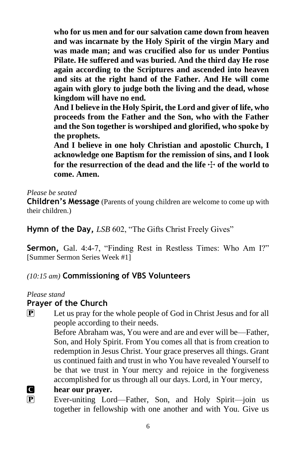**who for us men and for our salvation came down from heaven and was incarnate by the Holy Spirit of the virgin Mary and was made man; and was crucified also for us under Pontius Pilate. He suffered and was buried. And the third day He rose again according to the Scriptures and ascended into heaven and sits at the right hand of the Father. And He will come again with glory to judge both the living and the dead, whose kingdom will have no end.**

**And I believe in the Holy Spirit, the Lord and giver of life, who proceeds from the Father and the Son, who with the Father and the Son together is worshiped and glorified, who spoke by the prophets.**

**And I believe in one holy Christian and apostolic Church, I acknowledge one Baptism for the remission of sins, and I look**  for the resurrection of the dead and the life  $\pm$  of the world to **come. Amen.**

#### *Please be seated*

**Children's Message** (Parents of young children are welcome to come up with their children.)

**Hymn of the Day,** *LSB* 602, "The Gifts Christ Freely Gives"

**Sermon,** Gal. 4:4-7, "Finding Rest in Restless Times: Who Am I?" [Summer Sermon Series Week #1]

#### *(10:15 am)* **Commissioning of VBS Volunteers**

#### *Please stand*

#### **Prayer of the Church**

 $\boxed{\mathbf{P}}$  Let us pray for the whole people of God in Christ Jesus and for all people according to their needs.

Before Abraham was, You were and are and ever will be—Father, Son, and Holy Spirit. From You comes all that is from creation to redemption in Jesus Christ. Your grace preserves all things. Grant us continued faith and trust in who You have revealed Yourself to be that we trust in Your mercy and rejoice in the forgiveness accomplished for us through all our days. Lord, in Your mercy,

C **hear our prayer.**

P Ever-uniting Lord—Father, Son, and Holy Spirit—join us together in fellowship with one another and with You. Give us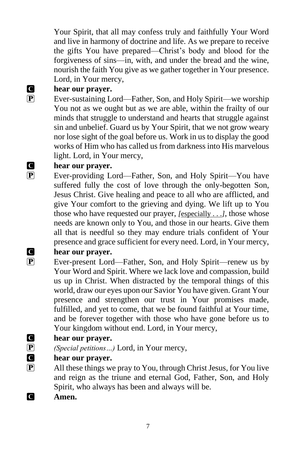Your Spirit, that all may confess truly and faithfully Your Word and live in harmony of doctrine and life. As we prepare to receive the gifts You have prepared—Christ's body and blood for the forgiveness of sins—in, with, and under the bread and the wine, nourish the faith You give as we gather together in Your presence. Lord, in Your mercy,

#### C **hear our prayer.**

P Ever-sustaining Lord—Father, Son, and Holy Spirit—we worship You not as we ought but as we are able, within the frailty of our minds that struggle to understand and hearts that struggle against sin and unbelief. Guard us by Your Spirit, that we not grow weary nor lose sight of the goal before us. Work in us to display the good works of Him who has called us from darkness into His marvelous light. Lord, in Your mercy,

#### C **hear our prayer.**

P Ever-providing Lord—Father, Son, and Holy Spirit—You have suffered fully the cost of love through the only-begotten Son, Jesus Christ. Give healing and peace to all who are afflicted, and give Your comfort to the grieving and dying. We lift up to You those who have requested our prayer, *[*especially . . .*]*, those whose needs are known only to You, and those in our hearts. Give them all that is needful so they may endure trials confident of Your presence and grace sufficient for every need. Lord, in Your mercy,

#### C **hear our prayer.**

P Ever-present Lord—Father, Son, and Holy Spirit—renew us by Your Word and Spirit. Where we lack love and compassion, build us up in Christ. When distracted by the temporal things of this world, draw our eyes upon our Savior You have given. Grant Your presence and strengthen our trust in Your promises made, fulfilled, and yet to come, that we be found faithful at Your time, and be forever together with those who have gone before us to Your kingdom without end. Lord, in Your mercy,

C **hear our prayer.**

P *(Special petitions…)* Lord, in Your mercy,

#### C **hear our prayer.**

P All these things we pray to You, through Christ Jesus, for You live and reign as the triune and eternal God, Father, Son, and Holy Spirit, who always has been and always will be.

C **Amen.**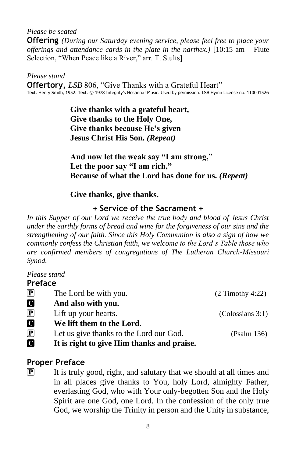*Please be seated*

**Offering** *(During our Saturday evening service, please feel free to place your offerings and attendance cards in the plate in the narthex.)* [10:15 am – Flute Selection, "When Peace like a River," arr. T. Stults]

*Please stand*

**Offertory,** *LSB* 806, "Give Thanks with a Grateful Heart" Text: Henry Smith, 1952. Text: © 1978 Integrity's Hosanna! Music. Used by permission: LSB Hymn License no. 110001526

> **Give thanks with a grateful heart, Give thanks to the Holy One, Give thanks because He's given Jesus Christ His Son.** *(Repeat)*

**And now let the weak say "I am strong," Let the poor say "I am rich," Because of what the Lord has done for us.** *(Repeat)*

**Give thanks, give thanks.**

#### **+ Service of the Sacrament +**

*In this Supper of our Lord we receive the true body and blood of Jesus Christ under the earthly forms of bread and wine for the forgiveness of our sins and the strengthening of our faith. Since this Holy Communion is also a sign of how we commonly confess the Christian faith, we welcome to the Lord's Table those who are confirmed members of congregations of The Lutheran Church-Missouri Synod.*

*Please stand*

#### **Preface**

| $\bf \bf P$                 | The Lord be with you.                   | $(2$ Timothy 4:22) |
|-----------------------------|-----------------------------------------|--------------------|
| C                           | And also with you.                      |                    |
| $\left  \mathbf{P} \right $ | Lift up your hearts.                    | (Colossians 3:1)   |
| O                           | We lift them to the Lord.               |                    |
| $\left[\mathbf{P}\right]$   | Let us give thanks to the Lord our God. | (Psalm 136)        |
| œ                           |                                         |                    |

C **It is right to give Him thanks and praise.**

#### **Proper Preface**

**P** It is truly good, right, and salutary that we should at all times and in all places give thanks to You, holy Lord, almighty Father, everlasting God, who with Your only-begotten Son and the Holy Spirit are one God, one Lord. In the confession of the only true God, we worship the Trinity in person and the Unity in substance,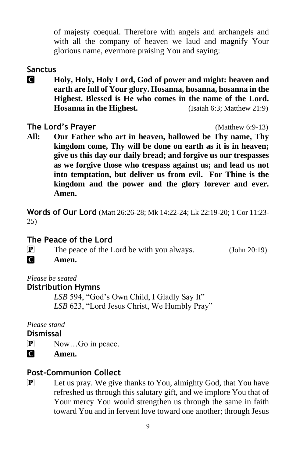of majesty coequal. Therefore with angels and archangels and with all the company of heaven we laud and magnify Your glorious name, evermore praising You and saying:

#### **Sanctus**

C **Holy, Holy, Holy Lord, God of power and might: heaven and earth are full of Your glory. Hosanna, hosanna, hosanna in the Highest. Blessed is He who comes in the name of the Lord. Hosanna in the Highest.** (Isaiah 6:3; Matthew 21:9)

#### **The Lord's Prayer** (Matthew 6:9-13)

**All: Our Father who art in heaven, hallowed be Thy name, Thy kingdom come, Thy will be done on earth as it is in heaven; give us this day our daily bread; and forgive us our trespasses as we forgive those who trespass against us; and lead us not into temptation, but deliver us from evil. For Thine is the kingdom and the power and the glory forever and ever. Amen.**

**Words of Our Lord** (Matt 26:26-28; Mk 14:22-24; Lk 22:19-20; 1 Cor 11:23- 25)

#### **The Peace of the Lord**

**P** The peace of the Lord be with you always. (John  $20:19$ )

C **Amen.**

*Please be seated*

#### **Distribution Hymns**

*LSB* 594, "God's Own Child, I Gladly Say It" *LSB* 623, "Lord Jesus Christ, We Humbly Pray"

*Please stand*

#### **Dismissal**

- **P** Now...Go in peace.
- C **Amen.**

#### **Post-Communion Collect**

 $\boxed{\mathbf{P}}$  Let us pray. We give thanks to You, almighty God, that You have refreshed us through this salutary gift, and we implore You that of Your mercy You would strengthen us through the same in faith toward You and in fervent love toward one another; through Jesus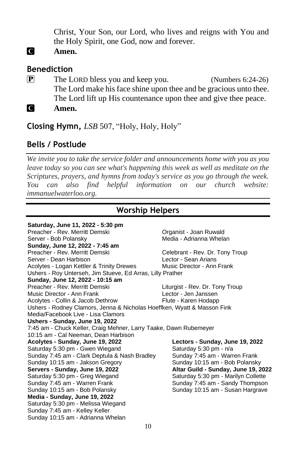Christ, Your Son, our Lord, who lives and reigns with You and the Holy Spirit, one God, now and forever.

C **Amen.**

#### **Benediction**

P The LORD bless you and keep you. (Numbers 6:24-26) The Lord make his face shine upon thee and be gracious unto thee. The Lord lift up His countenance upon thee and give thee peace.

C **Amen.**

**Closing Hymn,** *LSB* 507, "Holy, Holy, Holy"

#### **Bells / Postlude**

*We invite you to take the service folder and announcements home with you as you*  leave today so you can see what's happening this week as well as meditate on the *Scriptures, prayers, and hymns from today's service as you go through the week. You can also find helpful information on our church website: immanuelwaterloo.org.*

**Worship Helpers**

| worsnip Helpers                                                         |                                     |  |  |
|-------------------------------------------------------------------------|-------------------------------------|--|--|
| Saturday, June 11, 2022 - 5:30 pm                                       |                                     |  |  |
| Preacher - Rev. Merritt Demski                                          | Organist - Joan Ruwald              |  |  |
| Server - Bob Polansky                                                   | Media - Adrianna Whelan             |  |  |
| Sunday, June 12, 2022 - 7:45 am                                         |                                     |  |  |
| Preacher - Rev. Merritt Demski                                          | Celebrant - Rev. Dr. Tony Troup     |  |  |
| Server - Dean Harbison                                                  | Lector - Sean Arians                |  |  |
| Acolytes - Logan Kettler & Trinity Drewes                               | Music Director - Ann Frank          |  |  |
| Ushers - Roy Unterseh, Jim Stueve, Ed Arras, Lilly Prather              |                                     |  |  |
| Sunday, June 12, 2022 - 10:15 am                                        |                                     |  |  |
| Preacher - Rev. Merritt Demski                                          | Liturgist - Rev. Dr. Tony Troup     |  |  |
| Music Director - Ann Frank                                              | Lector - Jen Janssen                |  |  |
| Acolytes - Collin & Jacob Dethrow                                       | Flute - Karen Hodapp                |  |  |
| Ushers - Rodney Clamors, Jenna & Nicholas Hoeffken, Wyatt & Masson Fink |                                     |  |  |
| Media/Facebook Live - Lisa Clamors                                      |                                     |  |  |
| Ushers - Sunday, June 19, 2022                                          |                                     |  |  |
| 7:45 am - Chuck Keller, Craig Mehner, Larry Taake, Dawn Rubemeyer       |                                     |  |  |
| 10:15 am - Cal Neeman, Dean Harbison                                    |                                     |  |  |
| Acolytes - Sunday, June 19, 2022                                        | Lectors - Sunday, June 19, 2022     |  |  |
| Saturday 5:30 pm - Gwen Wiegand                                         | Saturday 5:30 pm - n/a              |  |  |
| Sunday 7:45 am - Clark Deptula & Nash Bradley                           | Sunday 7:45 am - Warren Frank       |  |  |
| Sunday 10:15 am - Jakson Gregory                                        | Sunday 10:15 am - Bob Polansky      |  |  |
| Servers - Sunday, June 19, 2022                                         | Altar Guild - Sunday, June 19, 2022 |  |  |
| Saturday 5:30 pm - Greg Wiegand                                         | Saturday 5:30 pm - Marilyn Collette |  |  |
| Sunday 7:45 am - Warren Frank                                           | Sunday 7:45 am - Sandy Thompson     |  |  |
| Sunday 10:15 am - Bob Polansky                                          | Sunday 10:15 am - Susan Hargrave    |  |  |
| Media - Sunday, June 19, 2022                                           |                                     |  |  |
| Saturday 5:30 pm - Melissa Wiegand                                      |                                     |  |  |
| Sunday 7:45 am - Kelley Keller                                          |                                     |  |  |
| Sunday 10:15 am - Adrianna Whelan                                       |                                     |  |  |